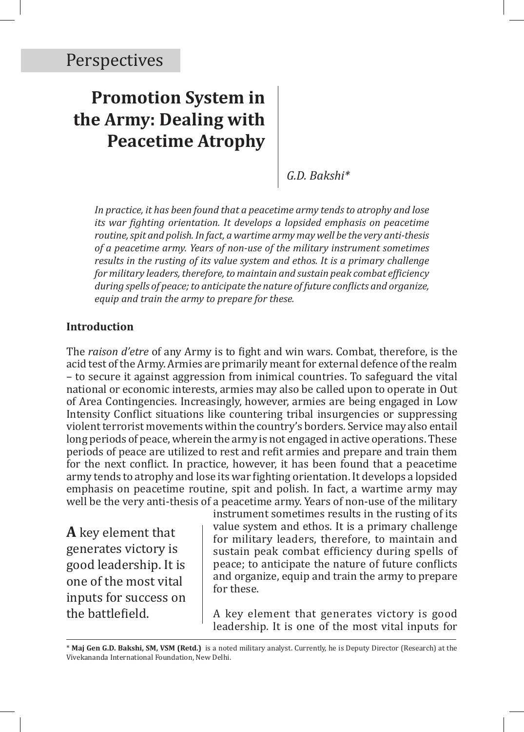# **Promotion System in the Army: Dealing with Peacetime Atrophy**

*G.D. Bakshi\**

*In practice, it has been found that a peacetime army tends to atrophy and lose its war fighting orientation. It develops a lopsided emphasis on peacetime routine, spit and polish. In fact, a wartime army may well be the very anti-thesis of a peacetime army. Years of non-use of the military instrument sometimes results in the rusting of its value system and ethos. It is a primary challenge for military leaders, therefore, to maintain and sustain peak combat efficiency during spells of peace; to anticipate the nature of future conflicts and organize, equip and train the army to prepare for these.*

### **Introduction**

The *raison d'etre* of any Army is to fight and win wars. Combat, therefore, is the acid test of the Army. Armies are primarily meant for external defence of the realm – to secure it against aggression from inimical countries. To safeguard the vital national or economic interests, armies may also be called upon to operate in Out of Area Contingencies. Increasingly, however, armies are being engaged in Low Intensity Conflict situations like countering tribal insurgencies or suppressing violent terrorist movements within the country's borders. Service may also entail long periods of peace, wherein the army is not engaged in active operations. These periods of peace are utilized to rest and refit armies and prepare and train them for the next conflict. In practice, however, it has been found that a peacetime army tends to atrophy and lose its war fighting orientation. It develops a lopsided emphasis on peacetime routine, spit and polish. In fact, a wartime army may well be the very anti-thesis of a peacetime army. Years of non-use of the military

**A** key element that generates victory is good leadership. It is one of the most vital inputs for success on the battlefield.

instrument sometimes results in the rusting of its value system and ethos. It is a primary challenge for military leaders, therefore, to maintain and sustain peak combat efficiency during spells of peace; to anticipate the nature of future conflicts and organize, equip and train the army to prepare for these.

A key element that generates victory is good leadership. It is one of the most vital inputs for

<sup>\*</sup> **Maj Gen G.D. Bakshi, SM, VSM (Retd.)** is a noted military analyst. Currently, he is Deputy Director (Research) at the Vivekananda International Foundation, New Delhi.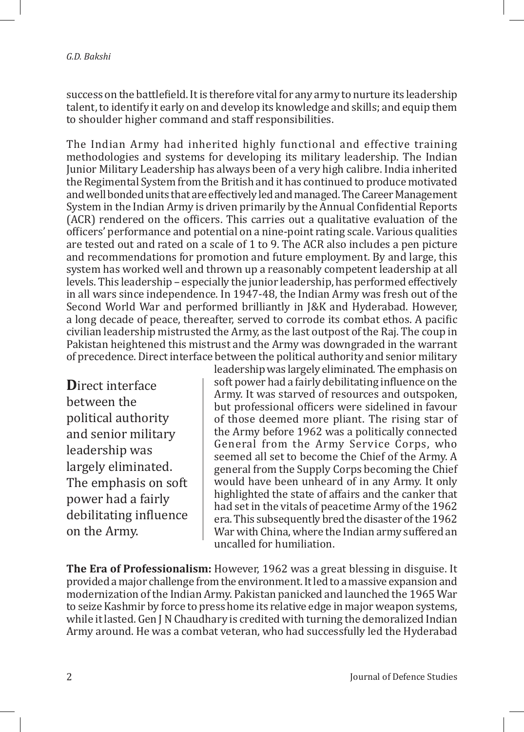success on the battlefield. It is therefore vital for any army to nurture its leadership talent, to identify it early on and develop its knowledge and skills; and equip them to shoulder higher command and staff responsibilities.

The Indian Army had inherited highly functional and effective training methodologies and systems for developing its military leadership. The Indian Junior Military Leadership has always been of a very high calibre. India inherited the Regimental System from the British and it has continued to produce motivated and well bonded units that are effectively led and managed. The Career Management System in the Indian Army is driven primarily by the Annual Confidential Reports (ACR) rendered on the officers. This carries out a qualitative evaluation of the officers' performance and potential on a nine-point rating scale. Various qualities are tested out and rated on a scale of 1 to 9. The ACR also includes a pen picture and recommendations for promotion and future employment. By and large, this system has worked well and thrown up a reasonably competent leadership at all levels. This leadership – especially the junior leadership, has performed effectively in all wars since independence. In 1947-48, the Indian Army was fresh out of the Second World War and performed brilliantly in J&K and Hyderabad. However, a long decade of peace, thereafter, served to corrode its combat ethos. A pacific civilian leadership mistrusted the Army, as the last outpost of the Raj. The coup in Pakistan heightened this mistrust and the Army was downgraded in the warrant of precedence. Direct interface between the political authority and senior military

**D**irect interface between the political authority and senior military leadership was largely eliminated. The emphasis on soft power had a fairly debilitating influence on the Army.

leadership was largely eliminated. The emphasis on soft power had a fairly debilitating influence on the Army. It was starved of resources and outspoken, but professional officers were sidelined in favour of those deemed more pliant. The rising star of the Army before 1962 was a politically connected General from the Army Service Corps, who seemed all set to become the Chief of the Army. A general from the Supply Corps becoming the Chief would have been unheard of in any Army. It only highlighted the state of affairs and the canker that had set in the vitals of peacetime Army of the 1962 era. This subsequently bred the disaster of the 1962 War with China, where the Indian army suffered an uncalled for humiliation.

**The Era of Professionalism:** However, 1962 was a great blessing in disguise. It provided a major challenge from the environment. It led to a massive expansion and modernization of the Indian Army. Pakistan panicked and launched the 1965 War to seize Kashmir by force to press home its relative edge in major weapon systems, while it lasted. Gen J N Chaudhary is credited with turning the demoralized Indian Army around. He was a combat veteran, who had successfully led the Hyderabad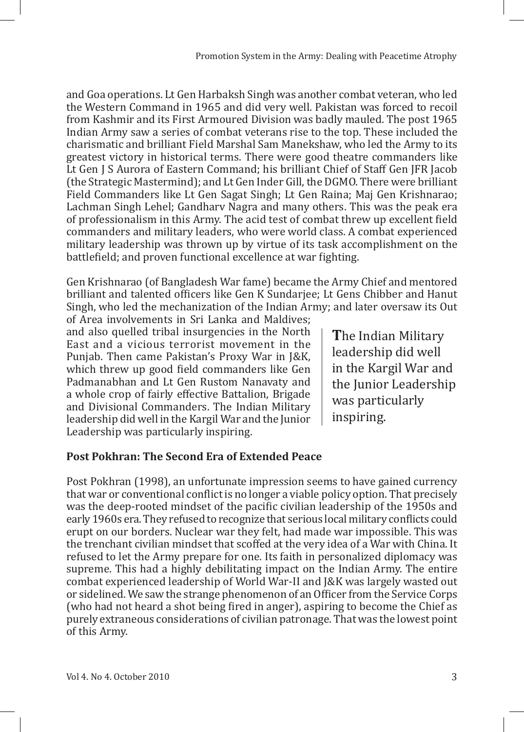and Goa operations. Lt Gen Harbaksh Singh was another combat veteran, who led the Western Command in 1965 and did very well. Pakistan was forced to recoil from Kashmir and its First Armoured Division was badly mauled. The post 1965 Indian Army saw a series of combat veterans rise to the top. These included the charismatic and brilliant Field Marshal Sam Manekshaw, who led the Army to its greatest victory in historical terms. There were good theatre commanders like Lt Gen J S Aurora of Eastern Command; his brilliant Chief of Staff Gen JFR Jacob (the Strategic Mastermind); and Lt Gen Inder Gill, the DGMO. There were brilliant Field Commanders like Lt Gen Sagat Singh; Lt Gen Raina; Maj Gen Krishnarao; Lachman Singh Lehel; Gandharv Nagra and many others. This was the peak era of professionalism in this Army. The acid test of combat threw up excellent field commanders and military leaders, who were world class. A combat experienced military leadership was thrown up by virtue of its task accomplishment on the battlefield; and proven functional excellence at war fighting.

Gen Krishnarao (of Bangladesh War fame) became the Army Chief and mentored brilliant and talented officers like Gen K Sundarjee; Lt Gens Chibber and Hanut Singh, who led the mechanization of the Indian Army; and later oversaw its Out of Area involvements in Sri Lanka and Maldives;

and also quelled tribal insurgencies in the North East and a vicious terrorist movement in the Punjab. Then came Pakistan's Proxy War in J&K, which threw up good field commanders like Gen Padmanabhan and Lt Gen Rustom Nanavaty and a whole crop of fairly effective Battalion, Brigade and Divisional Commanders. The Indian Military leadership did well in the Kargil War and the Junior Leadership was particularly inspiring.

**T**he Indian Military leadership did well in the Kargil War and the Junior Leadership was particularly inspiring.

## **Post Pokhran: The Second Era of Extended Peace**

Post Pokhran (1998), an unfortunate impression seems to have gained currency that war or conventional conflict is no longer a viable policy option. That precisely was the deep-rooted mindset of the pacific civilian leadership of the 1950s and early 1960s era. They refused to recognize that serious local military conflicts could erupt on our borders. Nuclear war they felt, had made war impossible. This was the trenchant civilian mindset that scoffed at the very idea of a War with China. It refused to let the Army prepare for one. Its faith in personalized diplomacy was supreme. This had a highly debilitating impact on the Indian Army. The entire combat experienced leadership of World War-II and J&K was largely wasted out or sidelined. We saw the strange phenomenon of an Officer from the Service Corps (who had not heard a shot being fired in anger), aspiring to become the Chief as purely extraneous considerations of civilian patronage. That was the lowest point of this Army.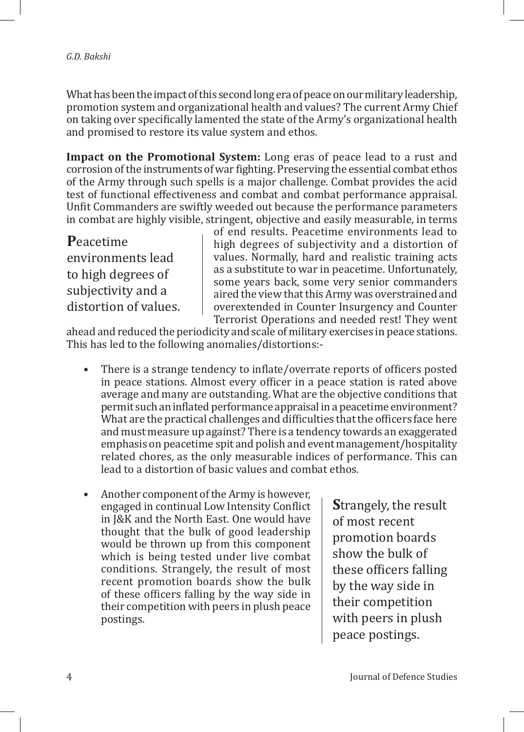What has been the impact of this second long era of peace on our military leadership, promotion system and organizational health and values? The current Army Chief on taking over specifically lamented the state of the Army's organizational health and promised to restore its value system and ethos.

**Impact on the Promotional System:** Long eras of peace lead to a rust and corrosion of the instruments of war fighting. Preserving the essential combat ethos of the Army through such spells is a major challenge. Combat provides the acid test of functional effectiveness and combat and combat performance appraisal. Unfit Commanders are swiftly weeded out because the performance parameters in combat are highly visible, stringent, objective and easily measurable, in terms

**P**eacetime environments lead to high degrees of subjectivity and a distortion of values. of end results. Peacetime environments lead to high degrees of subjectivity and a distortion of values. Normally, hard and realistic training acts as a substitute to war in peacetime. Unfortunately, some years back, some very senior commanders aired the view that this Army was overstrained and overextended in Counter Insurgency and Counter Terrorist Operations and needed rest! They went

ahead and reduced the periodicity and scale of military exercises in peace stations. This has led to the following anomalies/distortions:-

- There is a strange tendency to inflate/overrate reports of officers posted in peace stations. Almost every officer in a peace station is rated above average and many are outstanding. What are the objective conditions that permit such an inflated performance appraisal in a peacetime environment? What are the practical challenges and difficulties that the officers face here and must measure up against? There is a tendency towards an exaggerated emphasis on peacetime spit and polish and event management/hospitality related chores, as the only measurable indices of performance. This can lead to a distortion of basic values and combat ethos.
- Another component of the Army is however, engaged in continual Low Intensity Conflict in J&K and the North East. One would have thought that the bulk of good leadership would be thrown up from this component which is being tested under live combat conditions. Strangely, the result of most recent promotion boards show the bulk of these officers falling by the way side in their competition with peers in plush peace postings.

**S**trangely, the result of most recent promotion boards show the bulk of these officers falling by the way side in their competition with peers in plush peace postings.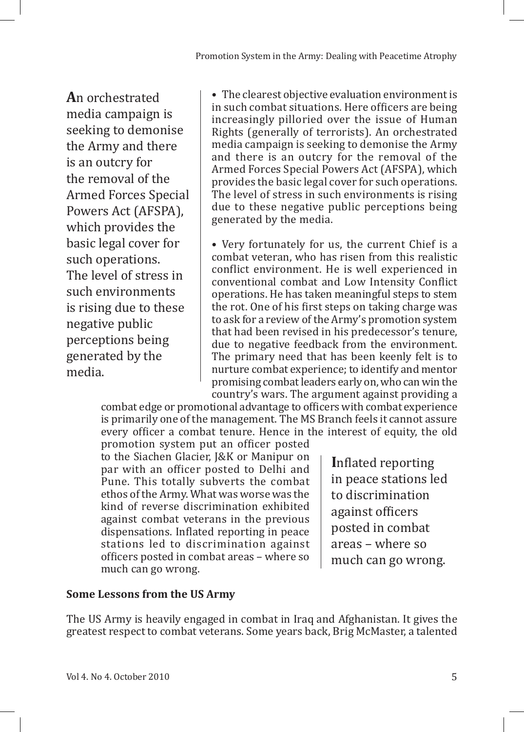**A**n orchestrated media campaign is seeking to demonise the Army and there is an outcry for the removal of the Armed Forces Special Powers Act (AFSPA), which provides the basic legal cover for such operations. The level of stress in such environments is rising due to these negative public perceptions being generated by the media.

• The clearest objective evaluation environment is in such combat situations. Here officers are being increasingly pilloried over the issue of Human Rights (generally of terrorists). An orchestrated media campaign is seeking to demonise the Army and there is an outcry for the removal of the Armed Forces Special Powers Act (AFSPA), which provides the basic legal cover for such operations. The level of stress in such environments is rising due to these negative public perceptions being generated by the media.

• Very fortunately for us, the current Chief is a combat veteran, who has risen from this realistic conflict environment. He is well experienced in conventional combat and Low Intensity Conflict operations. He has taken meaningful steps to stem the rot. One of his first steps on taking charge was to ask for a review of the Army's promotion system that had been revised in his predecessor's tenure, due to negative feedback from the environment. The primary need that has been keenly felt is to nurture combat experience; to identify and mentor promising combat leaders early on, who can win the country's wars. The argument against providing a

combat edge or promotional advantage to officers with combat experience is primarily one of the management. The MS Branch feels it cannot assure every officer a combat tenure. Hence in the interest of equity, the old

promotion system put an officer posted to the Siachen Glacier, J&K or Manipur on par with an officer posted to Delhi and Pune. This totally subverts the combat ethos of the Army. What was worse was the kind of reverse discrimination exhibited against combat veterans in the previous dispensations. Inflated reporting in peace stations led to discrimination against officers posted in combat areas – where so much can go wrong.

**I**nflated reporting in peace stations led to discrimination against officers posted in combat areas – where so much can go wrong.

## **Some Lessons from the US Army**

The US Army is heavily engaged in combat in Iraq and Afghanistan. It gives the greatest respect to combat veterans. Some years back, Brig McMaster, a talented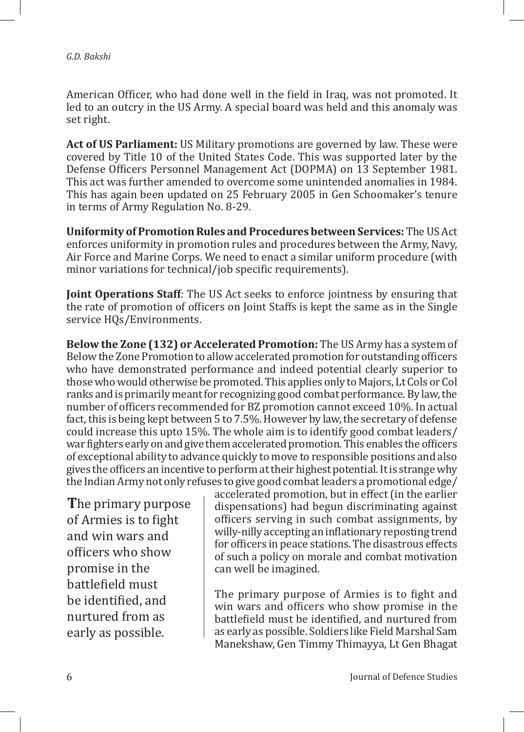American Officer, who had done well in the field in Iraq, was not promoted. It led to an outcry in the US Army. A special board was held and this anomaly was set right.

**Act of US Parliament:** US Military promotions are governed by law. These were covered by Title 10 of the United States Code. This was supported later by the Defense Officers Personnel Management Act (DOPMA) on 13 September 1981. This act was further amended to overcome some unintended anomalies in 1984. This has again been updated on 25 February 2005 in Gen Schoomaker's tenure in terms of Army Regulation No. 8-29.

**Uniformity of Promotion Rules and Procedures between Services:** The US Act enforces uniformity in promotion rules and procedures between the Army, Navy, Air Force and Marine Corps. We need to enact a similar uniform procedure (with minor variations for technical/job specific requirements).

**Joint Operations Staff***:* The US Act seeks to enforce jointness by ensuring that the rate of promotion of officers on Joint Staffs is kept the same as in the Single service HQs/Environments.

**Below the Zone (132) or Accelerated Promotion:** The US Army has a system of Below the Zone Promotion to allow accelerated promotion for outstanding officers who have demonstrated performance and indeed potential clearly superior to those who would otherwise be promoted. This applies only to Majors, Lt Cols or Col ranks and is primarily meant for recognizing good combat performance. By law, the number of officers recommended for BZ promotion cannot exceed 10%. In actual fact, this is being kept between 5 to 7.5%. However by law, the secretary of defense could increase this upto 15%. The whole aim is to identify good combat leaders/ war fighters early on and give them accelerated promotion. This enables the officers of exceptional ability to advance quickly to move to responsible positions and also gives the officers an incentive to perform at their highest potential. It is strange why the Indian Army not only refuses to give good combat leaders a promotional edge/

**T**he primary purpose of Armies is to fight and win wars and officers who show promise in the battlefield must be identified, and nurtured from as early as possible.

accelerated promotion, but in effect (in the earlier dispensations) had begun discriminating against officers serving in such combat assignments, by willy-nilly accepting an inflationary reposting trend for officers in peace stations. The disastrous effects of such a policy on morale and combat motivation can well be imagined.

The primary purpose of Armies is to fight and win wars and officers who show promise in the battlefield must be identified, and nurtured from as early as possible. Soldiers like Field Marshal Sam Manekshaw, Gen Timmy Thimayya, Lt Gen Bhagat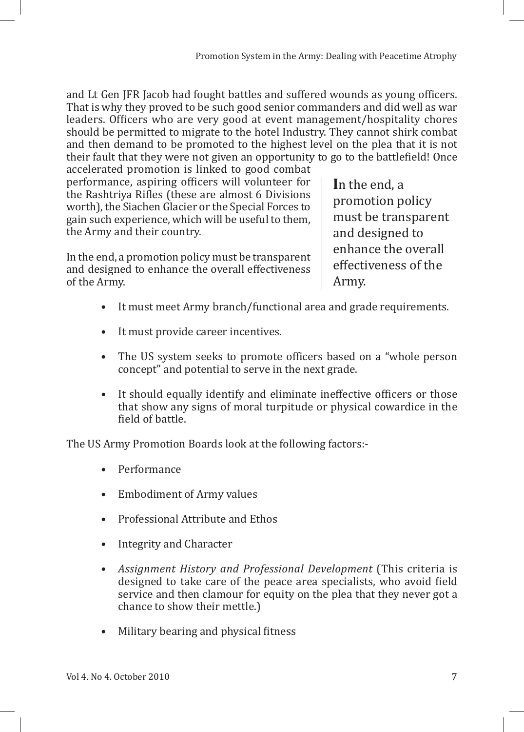and Lt Gen JFR Jacob had fought battles and suffered wounds as young officers. That is why they proved to be such good senior commanders and did well as war leaders. Officers who are very good at event management/hospitality chores should be permitted to migrate to the hotel Industry. They cannot shirk combat and then demand to be promoted to the highest level on the plea that it is not their fault that they were not given an opportunity to go to the battlefield! Once

accelerated promotion is linked to good combat performance, aspiring officers will volunteer for the Rashtriya Rifles (these are almost 6 Divisions worth), the Siachen Glacier or the Special Forces to gain such experience, which will be useful to them, the Army and their country.

In the end, a promotion policy must be transparent and designed to enhance the overall effectiveness of the Army.

**I**n the end, a promotion policy must be transparent and designed to enhance the overall effectiveness of the Army.

- It must meet Army branch/functional area and grade requirements.
- It must provide career incentives.
- The US system seeks to promote officers based on a "whole person" concept" and potential to serve in the next grade.
- It should equally identify and eliminate ineffective officers or those that show any signs of moral turpitude or physical cowardice in the field of battle.

The US Army Promotion Boards look at the following factors:-

- Performance
- Embodiment of Army values
- Professional Attribute and Ethos
- Integrity and Character
- *Assignment History and Professional Development* (This criteria is designed to take care of the peace area specialists, who avoid field service and then clamour for equity on the plea that they never got a chance to show their mettle.)
- Military bearing and physical fitness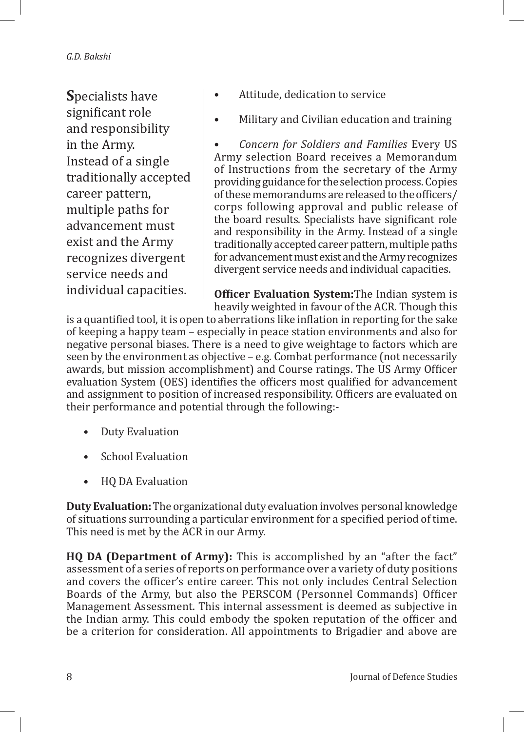**S**pecialists have significant role and responsibility in the Army. Instead of a single traditionally accepted career pattern, multiple paths for advancement must exist and the Army recognizes divergent service needs and individual capacities.

- Attitude, dedication to service
- Military and Civilian education and training

• *Concern for Soldiers and Families* Every US Army selection Board receives a Memorandum of Instructions from the secretary of the Army providing guidance for the selection process. Copies of these memorandums are released to the officers/ corps following approval and public release of the board results. Specialists have significant role and responsibility in the Army. Instead of a single traditionally accepted career pattern, multiple paths for advancement must exist and the Army recognizes divergent service needs and individual capacities.

**Officer Evaluation System:**The Indian system is heavily weighted in favour of the ACR. Though this

is a quantified tool, it is open to aberrations like inflation in reporting for the sake of keeping a happy team – especially in peace station environments and also for negative personal biases. There is a need to give weightage to factors which are seen by the environment as objective – e.g. Combat performance (not necessarily awards, but mission accomplishment) and Course ratings. The US Army Officer evaluation System (OES) identifies the officers most qualified for advancement and assignment to position of increased responsibility. Officers are evaluated on their performance and potential through the following:-

- Duty Evaluation
- School Evaluation
- HQ DA Evaluation

**Duty Evaluation:** The organizational duty evaluation involves personal knowledge of situations surrounding a particular environment for a specified period of time. This need is met by the ACR in our Army.

**HQ DA (Department of Army):** This is accomplished by an "after the fact" assessment of a series of reports on performance over a variety of duty positions and covers the officer's entire career. This not only includes Central Selection Boards of the Army, but also the PERSCOM (Personnel Commands) Officer Management Assessment. This internal assessment is deemed as subjective in the Indian army. This could embody the spoken reputation of the officer and be a criterion for consideration. All appointments to Brigadier and above are